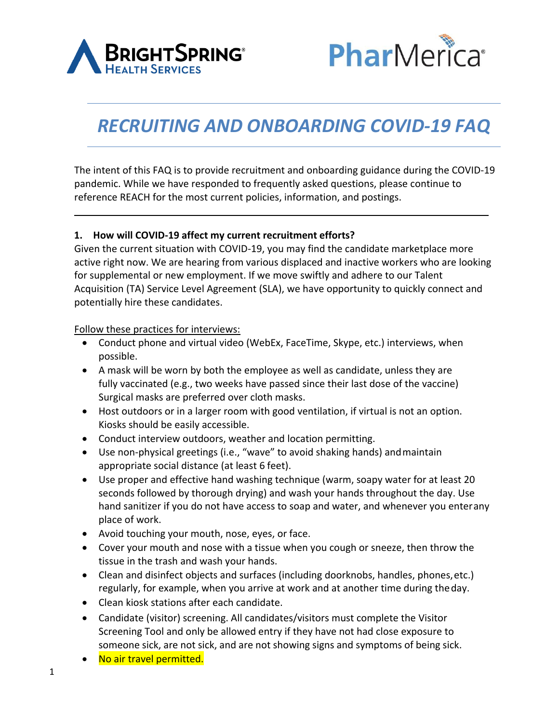



# *RECRUITING AND ONBOARDING COVID-19 FAQ*

The intent of this FAQ is to provide recruitment and onboarding guidance during the COVID-19 pandemic. While we have responded to frequently asked questions, please continue to reference REACH for the most current policies, information, and postings.

#### **1. How will COVID-19 affect my current recruitment efforts?**

Given the current situation with COVID-19, you may find the candidate marketplace more active right now. We are hearing from various displaced and inactive workers who are looking for supplemental or new employment. If we move swiftly and adhere to our Talent Acquisition (TA) Service Level Agreement (SLA), we have opportunity to quickly connect and potentially hire these candidates.

Follow these practices for interviews:

- Conduct phone and virtual video (WebEx, FaceTime, Skype, etc.) interviews, when possible.
- A mask will be worn by both the employee as well as candidate, unless they are fully vaccinated (e.g., two weeks have passed since their last dose of the vaccine) Surgical masks are preferred over cloth masks.
- Host outdoors or in a larger room with good ventilation, if virtual is not an option. Kiosks should be easily accessible.
- Conduct interview outdoors, weather and location permitting.
- Use non-physical greetings (i.e., "wave" to avoid shaking hands) andmaintain appropriate social distance (at least 6 feet).
- Use proper and effective hand washing technique (warm, soapy water for at least 20 seconds followed by thorough drying) and wash your hands throughout the day. Use hand sanitizer if you do not have access to soap and water, and whenever you enterany place of work.
- Avoid touching your mouth, nose, eyes, or face.
- Cover your mouth and nose with a tissue when you cough or sneeze, then throw the tissue in the trash and wash your hands.
- Clean and disinfect objects and surfaces (including doorknobs, handles, phones,etc.) regularly, for example, when you arrive at work and at another time during theday.
- Clean kiosk stations after each candidate.
- Candidate (visitor) screening. All candidates/visitors must complete the Visito[r](https://analytics.pharmericabrightspring.com/PoliteMail/default.aspx?page=Dkxf8EJ6YE22Z5B3ur-Rew&ref_id=oK07OAKHJkCWTsDM7mJqDQ) [Screening Tool a](https://analytics.pharmericabrightspring.com/PoliteMail/default.aspx?page=Dkxf8EJ6YE22Z5B3ur-Rew&ref_id=oK07OAKHJkCWTsDM7mJqDQ)nd only be allowed entry if they have not had close exposure to someone sick, are not sick, and are not showing signs and symptoms of being sick.
- No air travel permitted.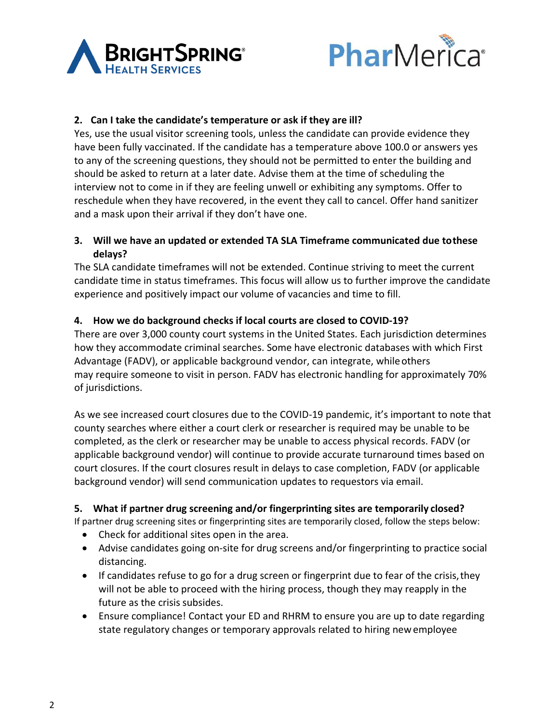



## **2. Can I take the candidate's temperature or ask if they are ill?**

Yes, use the usual visitor screening tools, unless the candidate can provide evidence they have been fully vaccinated. If the candidate has a temperature above 100.0 or answers yes to any of the screening questions, they should not be permitted to enter the building and should be asked to return at a later date. Advise them at the time of scheduling the interview not to come in if they are feeling unwell or exhibiting any symptoms. Offer to reschedule when they have recovered, in the event they call to cancel. Offer hand sanitizer and a mask upon their arrival if they don't have one.

## **3. Will we have an updated or extended TA SLA Timeframe communicated due tothese delays?**

The SLA candidate timeframes will not be extended. Continue striving to meet the current candidate time in status timeframes. This focus will allow us to further improve the candidate experience and positively impact our volume of vacancies and time to fill.

## **4. How we do background checks if local courts are closed to COVID-19?**

There are over 3,000 county court systems in the United States. Each jurisdiction determines how they accommodate criminal searches. Some have electronic databases with which First Advantage (FADV), or applicable background vendor, can integrate, whileothers may require someone to visit in person. FADV has electronic handling for approximately 70% of jurisdictions.

As we see increased court closures due to the COVID-19 pandemic, it's important to note that county searches where either a court clerk or researcher is required may be unable to be completed, as the clerk or researcher may be unable to access physical records. FADV (or applicable background vendor) will continue to provide accurate turnaround times based on court closures. If the court closures result in delays to case completion, FADV (or applicable background vendor) will send communication updates to requestors via email.

#### **5. What if partner drug screening and/or fingerprinting sites are temporarily closed?**

If partner drug screening sites or fingerprinting sites are temporarily closed, follow the steps below:

- Check for additional sites open in the area.
- Advise candidates going on-site for drug screens and/or fingerprinting to practice social distancing.
- If candidates refuse to go for a drug screen or fingerprint due to fear of the crisis, they will not be able to proceed with the hiring process, though they may reapply in the future as the crisis subsides.
- Ensure compliance! Contact your ED and RHRM to ensure you are up to date regarding state regulatory changes or temporary approvals related to hiring newemployee